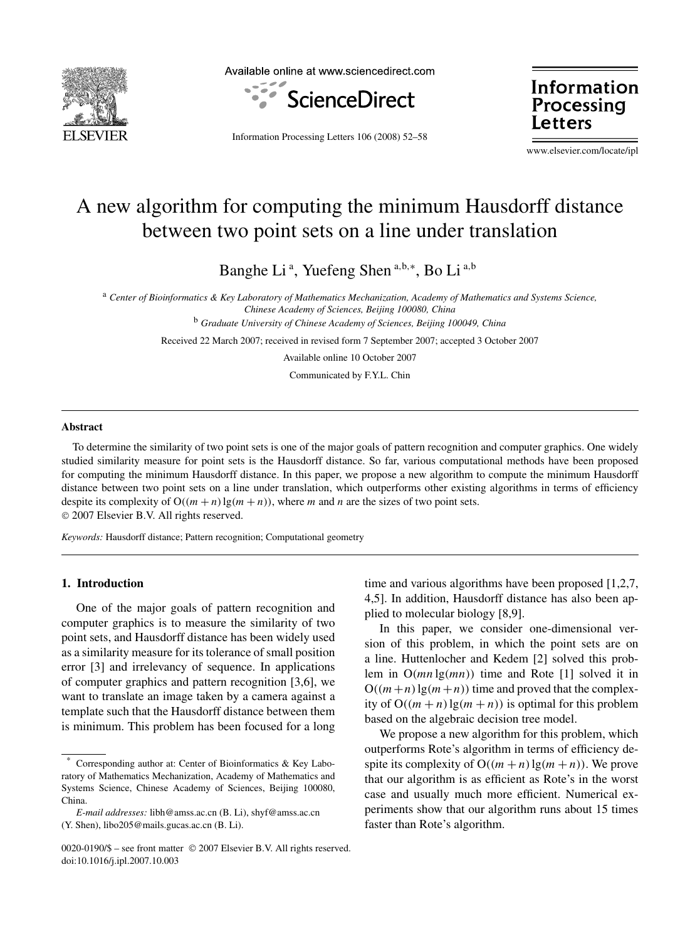

Available online at www.sciencedirect.com



Information Processing Letters 106 (2008) 52–58

Information Processing Letters

www.elsevier.com/locate/ipl

# A new algorithm for computing the minimum Hausdorff distance between two point sets on a line under translation

Banghe Li<sup>a</sup>, Yuefeng Shen<sup>a,b,\*</sup>, Bo Li<sup>a,b</sup>

<sup>a</sup> *Center of Bioinformatics & Key Laboratory of Mathematics Mechanization, Academy of Mathematics and Systems Science, Chinese Academy of Sciences, Beijing 100080, China*

<sup>b</sup> *Graduate University of Chinese Academy of Sciences, Beijing 100049, China*

Received 22 March 2007; received in revised form 7 September 2007; accepted 3 October 2007

Available online 10 October 2007

Communicated by F.Y.L. Chin

#### **Abstract**

To determine the similarity of two point sets is one of the major goals of pattern recognition and computer graphics. One widely studied similarity measure for point sets is the Hausdorff distance. So far, various computational methods have been proposed for computing the minimum Hausdorff distance. In this paper, we propose a new algorithm to compute the minimum Hausdorff distance between two point sets on a line under translation, which outperforms other existing algorithms in terms of efficiency despite its complexity of  $O((m + n) \lg(m + n))$ , where *m* and *n* are the sizes of two point sets. © 2007 Elsevier B.V. All rights reserved.

*Keywords:* Hausdorff distance; Pattern recognition; Computational geometry

## **1. Introduction**

One of the major goals of pattern recognition and computer graphics is to measure the similarity of two point sets, and Hausdorff distance has been widely used as a similarity measure for its tolerance of small position error [3] and irrelevancy of sequence. In applications of computer graphics and pattern recognition [3,6], we want to translate an image taken by a camera against a template such that the Hausdorff distance between them is minimum. This problem has been focused for a long

time and various algorithms have been proposed [1,2,7, 4,5]. In addition, Hausdorff distance has also been applied to molecular biology [8,9].

In this paper, we consider one-dimensional version of this problem, in which the point sets are on a line. Huttenlocher and Kedem [2] solved this problem in O*(mn* lg*(mn))* time and Rote [1] solved it in  $O((m+n)lg(m+n))$  time and proved that the complexity of  $O((m + n) \lg(m + n))$  is optimal for this problem based on the algebraic decision tree model.

We propose a new algorithm for this problem, which outperforms Rote's algorithm in terms of efficiency despite its complexity of  $O((m + n) \lg(m + n))$ . We prove that our algorithm is as efficient as Rote's in the worst case and usually much more efficient. Numerical experiments show that our algorithm runs about 15 times faster than Rote's algorithm.

Corresponding author at: Center of Bioinformatics & Key Laboratory of Mathematics Mechanization, Academy of Mathematics and Systems Science, Chinese Academy of Sciences, Beijing 100080, China.

*E-mail addresses:* libh@amss.ac.cn (B. Li), shyf@amss.ac.cn (Y. Shen), libo205@mails.gucas.ac.cn (B. Li).

<sup>0020-0190/\$ –</sup> see front matter © 2007 Elsevier B.V. All rights reserved. doi:10.1016/j.ipl.2007.10.003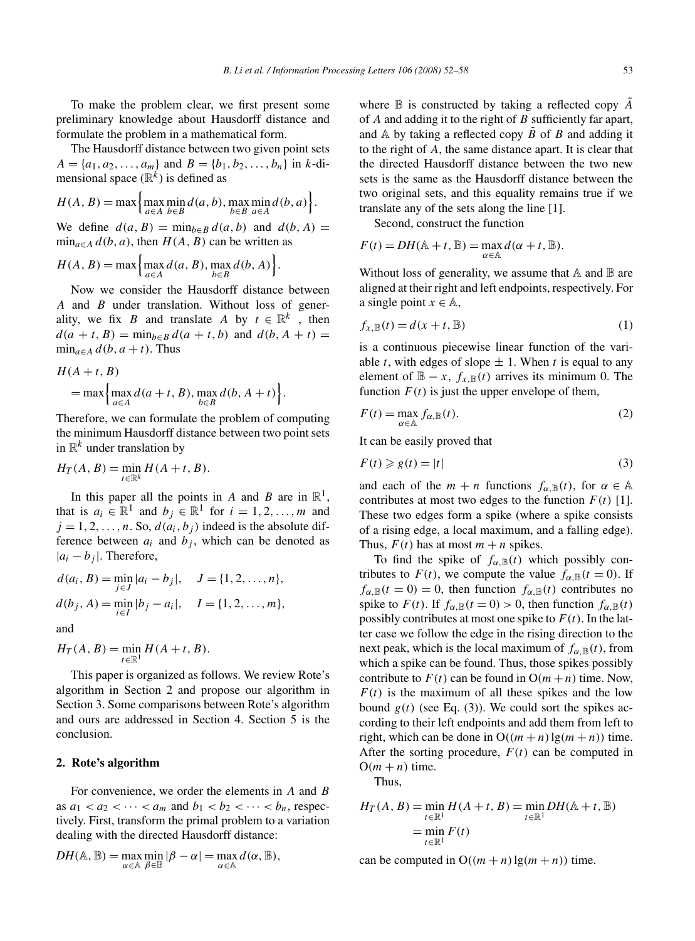To make the problem clear, we first present some preliminary knowledge about Hausdorff distance and formulate the problem in a mathematical form.

The Hausdorff distance between two given point sets  $A = \{a_1, a_2, \ldots, a_m\}$  and  $B = \{b_1, b_2, \ldots, b_n\}$  in *k*-dimensional space  $(\mathbb{R}^k)$  is defined as

$$
H(A, B) = \max \left\{ \max_{a \in A} \min_{b \in B} d(a, b), \max_{b \in B} \min_{a \in A} d(b, a) \right\}.
$$

We define  $d(a, B) = \min_{b \in B} d(a, b)$  and  $d(b, A) =$  $\min_{a \in A} d(b, a)$ , then  $H(A, B)$  can be written as

$$
H(A, B) = \max \left\{ \max_{a \in A} d(a, B), \max_{b \in B} d(b, A) \right\}.
$$

Now we consider the Hausdorff distance between *A* and *B* under translation. Without loss of generality, we fix *B* and translate *A* by  $t \in \mathbb{R}^k$ , then  $d(a + t, B) = \min_{b \in B} d(a + t, b)$  and  $d(b, A + t) =$  $\min_{a \in A} d(b, a + t)$ . Thus

$$
H(A+t, B)
$$
  
= max  $\left\{\max_{a \in A} d(a+t, B), \max_{b \in B} d(b, A+t)\right\}.$ 

Therefore, we can formulate the problem of computing the minimum Hausdorff distance between two point sets in  $\mathbb{R}^k$  under translation by

$$
H_T(A, B) = \min_{t \in \mathbb{R}^k} H(A + t, B).
$$

In this paper all the points in *A* and *B* are in  $\mathbb{R}^1$ , that is  $a_i \in \mathbb{R}^1$  and  $b_i \in \mathbb{R}^1$  for  $i = 1, 2, \ldots, m$  and  $j = 1, 2, \ldots, n$ . So,  $d(a_i, b_j)$  indeed is the absolute difference between  $a_i$  and  $b_j$ , which can be denoted as  $|a_i - b_j|$ . Therefore,

$$
d(a_i, B) = \min_{j \in J} |a_i - b_j|, \quad J = \{1, 2, ..., n\},
$$
  

$$
d(b_j, A) = \min_{i \in I} |b_j - a_i|, \quad I = \{1, 2, ..., m\},
$$

and

$$
H_T(A, B) = \min_{t \in \mathbb{R}^1} H(A + t, B).
$$

This paper is organized as follows. We review Rote's algorithm in Section 2 and propose our algorithm in Section 3. Some comparisons between Rote's algorithm and ours are addressed in Section 4. Section 5 is the conclusion.

#### **2. Rote's algorithm**

For convenience, we order the elements in *A* and *B* as  $a_1 < a_2 < \cdots < a_m$  and  $b_1 < b_2 < \cdots < b_n$ , respectively. First, transform the primal problem to a variation dealing with the directed Hausdorff distance:

$$
DH(\mathbb{A}, \mathbb{B}) = \max_{\alpha \in \mathbb{A}} \min_{\beta \in \mathbb{B}} |\beta - \alpha| = \max_{\alpha \in \mathbb{A}} d(\alpha, \mathbb{B}),
$$

where B is constructed by taking a reflected copy *A*˜ of *A* and adding it to the right of *B* sufficiently far apart, and  $\mathbb A$  by taking a reflected copy  $\tilde B$  of  $B$  and adding it to the right of *A*, the same distance apart. It is clear that the directed Hausdorff distance between the two new sets is the same as the Hausdorff distance between the two original sets, and this equality remains true if we translate any of the sets along the line [1].

Second, construct the function

$$
F(t) = DH(\mathbb{A} + t, \mathbb{B}) = \max_{\alpha \in \mathbb{A}} d(\alpha + t, \mathbb{B}).
$$

Without loss of generality, we assume that  $A$  and  $B$  are aligned at their right and left endpoints, respectively. For a single point  $x \in \mathbb{A}$ ,

$$
f_{x,\mathbb{B}}(t) = d(x+t, \mathbb{B})
$$
\n(1)

is a continuous piecewise linear function of the variable *t*, with edges of slope  $\pm$  1. When *t* is equal to any element of  $\mathbb{B} - x$ ,  $f_{x,\mathbb{B}}(t)$  arrives its minimum 0. The function  $F(t)$  is just the upper envelope of them,

$$
F(t) = \max_{\alpha \in \mathbb{A}} f_{\alpha, \mathbb{B}}(t).
$$
 (2)

It can be easily proved that

$$
F(t) \ge g(t) = |t|
$$
\n(3)

and each of the  $m + n$  functions  $f_{\alpha, \mathbb{B}}(t)$ , for  $\alpha \in \mathbb{A}$ contributes at most two edges to the function  $F(t)$  [1]. These two edges form a spike (where a spike consists of a rising edge, a local maximum, and a falling edge). Thus,  $F(t)$  has at most  $m + n$  spikes.

To find the spike of  $f_{\alpha, \mathbb{B}}(t)$  which possibly contributes to  $F(t)$ , we compute the value  $f_{\alpha, \mathbb{B}}(t=0)$ . If  $f_{\alpha,\mathbb{B}}(t=0) = 0$ , then function  $f_{\alpha,\mathbb{B}}(t)$  contributes no spike to  $F(t)$ . If  $f_{\alpha, \mathbb{B}}(t=0) > 0$ , then function  $f_{\alpha, \mathbb{B}}(t)$ possibly contributes at most one spike to  $F(t)$ . In the latter case we follow the edge in the rising direction to the next peak, which is the local maximum of  $f_{\alpha, \mathbb{B}}(t)$ , from which a spike can be found. Thus, those spikes possibly contribute to  $F(t)$  can be found in  $O(m+n)$  time. Now,  $F(t)$  is the maximum of all these spikes and the low bound  $g(t)$  (see Eq. (3)). We could sort the spikes according to their left endpoints and add them from left to right, which can be done in  $O((m+n) \lg(m+n))$  time. After the sorting procedure,  $F(t)$  can be computed in  $O(m + n)$  time.

Thus,

$$
H_T(A, B) = \min_{t \in \mathbb{R}^1} H(A + t, B) = \min_{t \in \mathbb{R}^1} DH(\mathbb{A} + t, \mathbb{B})
$$
  
= 
$$
\min_{t \in \mathbb{R}^1} F(t)
$$

can be computed in  $O((m + n) \lg(m + n))$  time.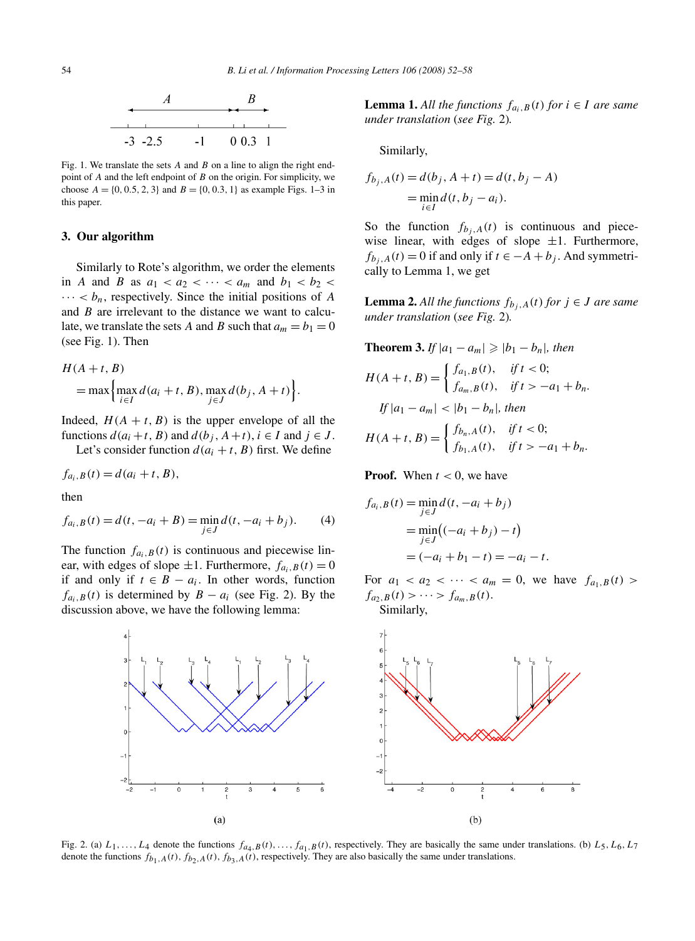

Fig. 1. We translate the sets *A* and *B* on a line to align the right endpoint of *A* and the left endpoint of *B* on the origin. For simplicity, we choose  $A = \{0, 0.5, 2, 3\}$  and  $B = \{0, 0.3, 1\}$  as example Figs. 1–3 in this paper.

### **3. Our algorithm**

Similarly to Rote's algorithm, we order the elements in *A* and *B* as  $a_1 < a_2 < \cdots < a_m$  and  $b_1 < b_2 <$  $\cdots < b_n$ , respectively. Since the initial positions of *A* and *B* are irrelevant to the distance we want to calculate, we translate the sets *A* and *B* such that  $a_m = b_1 = 0$ (see Fig. 1). Then

$$
H(A+t, B)
$$
  
= max  $\left\{\max_{i \in I} d(a_i + t, B), \max_{j \in J} d(b_j, A + t) \right\}.$ 

Indeed,  $H(A + t, B)$  is the upper envelope of all the functions  $d(a_i + t, B)$  and  $d(b_i, A + t), i \in I$  and  $j \in J$ .

Let's consider function  $d(a_i + t, B)$  first. We define

$$
f_{a_i,B}(t) = d(a_i + t, B),
$$

then

$$
f_{a_i,B}(t) = d(t, -a_i + B) = \min_{j \in J} d(t, -a_i + b_j).
$$
 (4)

The function  $f_{a_i,B}(t)$  is continuous and piecewise linear, with edges of slope  $\pm 1$ . Furthermore,  $f_{a_i,B}(t) = 0$ if and only if *t* ∈ *B* − *ai*. In other words, function  $f_{a_i,B}(t)$  is determined by  $B - a_i$  (see Fig. 2). By the discussion above, we have the following lemma:

**Lemma 1.** All the functions  $f_{a_i,B}(t)$  for  $i \in I$  are same *under translation* (*see Fig.* 2)*.*

Similarly,

$$
f_{b_j, A}(t) = d(b_j, A + t) = d(t, b_j - A)
$$
  
= 
$$
\min_{i \in I} d(t, b_j - a_i).
$$

So the function  $f_{b_i, A}(t)$  is continuous and piecewise linear, with edges of slope  $\pm 1$ . Furthermore,  $f_{b_i, A}(t) = 0$  if and only if  $t \in -A + b_i$ . And symmetrically to Lemma 1, we get

**Lemma 2.** All the functions  $f_{b_i,A}(t)$  for  $j \in J$  are same *under translation* (*see Fig.* 2)*.*

**Theorem 3.** If 
$$
|a_1 - a_m| \ge |b_1 - b_n|
$$
, then  
\n
$$
H(A + t, B) = \begin{cases} f_{a_1, B}(t), & \text{if } t < 0; \\ f_{a_m, B}(t), & \text{if } t > -a_1 + b_n. \end{cases}
$$
\nIf  $|a_1 - a_m| < |b_1 - b_n|$ , then  
\n
$$
H(A + t, B) = \begin{cases} f_{b_n, A}(t), & \text{if } t < 0; \\ f_{b_1, A}(t), & \text{if } t > -a_1 + b_n. \end{cases}
$$

**Proof.** When  $t < 0$ , we have

**Theorem 3.** *If* |*a*<sup>1</sup> − *am*| -

$$
f_{a_i, B}(t) = \min_{j \in J} d(t, -a_i + b_j)
$$
  
= 
$$
\min_{j \in J} ((-a_i + b_j) - t)
$$
  
= 
$$
(-a_i + b_1 - t) = -a_i - t.
$$

For  $a_1 < a_2 < \cdots < a_m = 0$ , we have  $f_{a_1, B}(t) >$  $f_{a_2,B}(t) > \cdots > f_{a_m,B}(t)$ . Similarly,



Fig. 2. (a)  $L_1, \ldots, L_4$  denote the functions  $f_{a_4, B}(t), \ldots, f_{a_1, B}(t)$ , respectively. They are basically the same under translations. (b)  $L_5, L_6, L_7$ denote the functions  $f_{b_1,A}(t)$ ,  $f_{b_2,A}(t)$ ,  $f_{b_3,A}(t)$ , respectively. They are also basically the same under translations.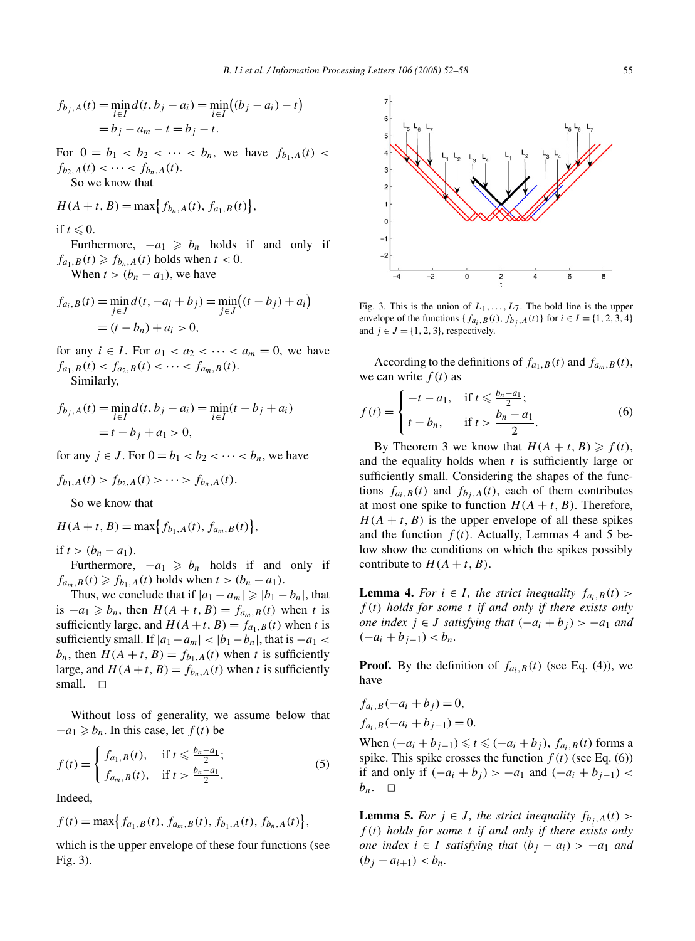$$
f_{b_j, A}(t) = \min_{i \in I} d(t, b_j - a_i) = \min_{i \in I} ((b_j - a_i) - t)
$$
  
=  $b_j - a_m - t = b_j - t$ .

For  $0 = b_1 < b_2 < \cdots < b_n$ , we have  $f_{b_1,A}(t) <$  $f_{b_2,A}(t) < \cdots < f_{b_n,A}(t)$ . So we know that

$$
H(A + t, B) = \max\{f_{b_n, A}(t), f_{a_1, B}(t)\},\
$$

if  $t \leq 0$ .

Furthermore,  $-a_1 \geq b_n$  holds if and only if  $f_{a_1,B}(t) \geq f_{b_n,A}(t)$  holds when  $t < 0$ . When  $t > (b_n - a_1)$ , we have

$$
f_{a_i,B}(t) = \min_{j \in J} d(t, -a_i + b_j) = \min_{j \in J} ((t - b_j) + a_i)
$$
  
=  $(t - b_n) + a_i > 0$ ,

for any  $i \in I$ . For  $a_1 < a_2 < \cdots < a_m = 0$ , we have  $f_{a_1,B}(t) < f_{a_2,B}(t) < \cdots < f_{a_m,B}(t)$ . Similarly,

$$
f_{b_j, A}(t) = \min_{i \in I} d(t, b_j - a_i) = \min_{i \in I} (t - b_j + a_i)
$$
  
=  $t - b_j + a_1 > 0$ ,

for any  $j \in J$ . For  $0 = b_1 < b_2 < \cdots < b_n$ , we have

$$
f_{b_1,A}(t) > f_{b_2,A}(t) > \cdots > f_{b_n,A}(t).
$$

So we know that

$$
H(A + t, B) = \max\{f_{b_1,A}(t), f_{a_m,B}(t)\},\
$$

if  $t > (b_n - a_1)$ .

Furthermore,  $-a_1 \geq b_n$  holds if and only if  $f_{a_m, B}(t) \ge f_{b_1, A}(t)$  holds when  $t > (b_n - a_1)$ .

Thus, we conclude that if  $|a_1 - a_m| \geqslant |b_1 - b_n|$ , that is  $-a_1 \ge b_n$ , then  $H(A + t, B) = f_{a_m, B}(t)$  when *t* is sufficiently large, and  $H(A+t, B) = f_{a_1, B}(t)$  when *t* is sufficiently small. If  $|a_1 - a_m| < |b_1 - b_n|$ , that is  $-a_1 <$  $b_n$ , then  $H(A + t, B) = f_{b_1, A}(t)$  when *t* is sufficiently large, and  $H(A+t, B) = f_{b_n, A}(t)$  when *t* is sufficiently small.  $\square$ 

Without loss of generality, we assume below that  $-a_1 \geq b_n$ . In this case, let  $f(t)$  be

$$
f(t) = \begin{cases} f_{a_1, B}(t), & \text{if } t \leq \frac{b_n - a_1}{2};\\ f_{a_m, B}(t), & \text{if } t > \frac{b_n - a_1}{2}. \end{cases}
$$
 (5)

Indeed,

$$
f(t) = \max\left\{f_{a_1,B}(t), f_{a_m,B}(t), f_{b_1,A}(t), f_{b_n,A}(t)\right\},\,
$$

which is the upper envelope of these four functions (see Fig. 3).



Fig. 3. This is the union of  $L_1, \ldots, L_7$ . The bold line is the upper envelope of the functions { $f_{a_i}, B(t), f_{b_i}, A(t)$ } for  $i \in I = \{1, 2, 3, 4\}$ and  $j \in J = \{1, 2, 3\}$ , respectively.

According to the definitions of  $f_{a_1,B}(t)$  and  $f_{a_m,B}(t)$ , we can write  $f(t)$  as

$$
f(t) = \begin{cases} -t - a_1, & \text{if } t \leq \frac{b_n - a_1}{2};\\ t - b_n, & \text{if } t > \frac{b_n - a_1}{2}. \end{cases}
$$
 (6)

By Theorem 3 we know that  $H(A + t, B) \ge f(t)$ , and the equality holds when *t* is sufficiently large or sufficiently small. Considering the shapes of the functions  $f_{a_i,B}(t)$  and  $f_{b_i,A}(t)$ , each of them contributes at most one spike to function  $H(A + t, B)$ . Therefore,  $H(A + t, B)$  is the upper envelope of all these spikes and the function  $f(t)$ . Actually, Lemmas 4 and 5 below show the conditions on which the spikes possibly contribute to  $H(A + t, B)$ .

**Lemma 4.** *For*  $i \in I$ *, the strict inequality*  $f_{a_i,B}(t)$ *f (t) holds for some t if and only if there exists only one index*  $j \in J$  *satisfying that*  $(-a_i + b_j) > -a_1$  *and*  $(-a_i + b_{i-1}) < b_n$ .

**Proof.** By the definition of  $f_{a_i,B}(t)$  (see Eq. (4)), we have

$$
f_{a_i, B}(-a_i + b_j) = 0,
$$
  
\n
$$
f_{a_i, B}(-a_i + b_{j-1}) = 0.
$$

When  $(-a_i + b_{i-1}) \le t \le (-a_i + b_i)$ ,  $f_{a_i, B}(t)$  forms a spike. This spike crosses the function  $f(t)$  (see Eq. (6)) if and only if  $(-a_i + b_j) > -a_1$  and  $(-a_i + b_{j-1}) <$  $b_n$ .  $\Box$ 

**Lemma 5.** *For*  $j \in J$ *, the strict inequality*  $f_{b_i,A}(t)$ *f (t) holds for some t if and only if there exists only one index*  $i \in I$  *satisfying that*  $(b_i - a_i) > -a_1$  *and*  $(b_i - a_{i+1}) < b_n$ .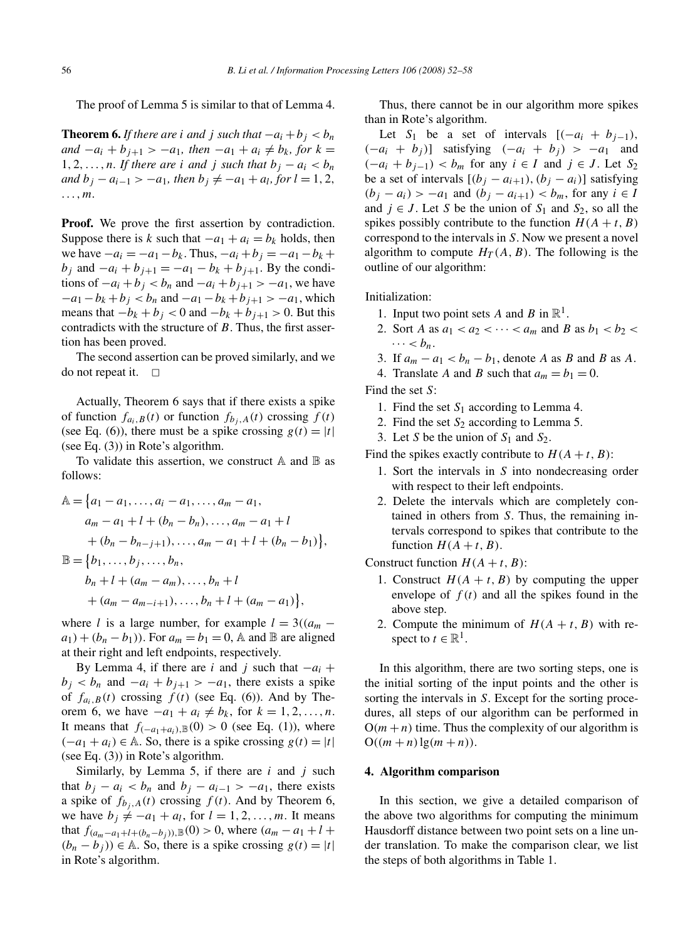The proof of Lemma 5 is similar to that of Lemma 4.

**Theorem 6.** *If there are i and j such that*  $-a_i + b_j < b_n$ *and*  $-a_i + b_{i+1} > -a_1$ , then  $-a_1 + a_i \neq b_k$ , for  $k =$ 1, 2,  $\dots$ , *n.* If there are *i* and *j* such that  $b_i - a_i < b_n$ *and*  $b_j - a_{i-1} > -a_1$ *, then*  $b_j \neq -a_1 + a_l$ *, for*  $l = 1, 2$ *, ...,m.*

**Proof.** We prove the first assertion by contradiction. Suppose there is *k* such that  $-a_1 + a_i = b_k$  holds, then we have  $-a_i = -a_1 - b_k$ . Thus,  $-a_i + b_j = -a_1 - b_k + b_j$ *b<sub>i</sub>* and  $-a_i + b_{i+1} = -a_1 - b_k + b_{i+1}$ . By the conditions of  $-a_i + b_j < b_n$  and  $-a_i + b_{j+1} > -a_1$ , we have  $-a_1 - b_k + b_j < b_n$  and  $-a_1 - b_k + b_{j+1} > -a_1$ , which means that  $-b_k + b_j < 0$  and  $-b_k + b_{j+1} > 0$ . But this contradicts with the structure of *B*. Thus, the first assertion has been proved.

The second assertion can be proved similarly, and we do not repeat it.  $\Box$ 

Actually, Theorem 6 says that if there exists a spike of function  $f_{a_i,B}(t)$  or function  $f_{b_i,A}(t)$  crossing  $f(t)$ (see Eq. (6)), there must be a spike crossing  $g(t) = |t|$ (see Eq. (3)) in Rote's algorithm.

To validate this assertion, we construct  $A$  and  $B$  as follows:

$$
\mathbb{A} = \{a_1 - a_1, \dots, a_i - a_1, \dots, a_m - a_1, a_m - a_1 + l + (b_n - b_n), \dots, a_m - a_1 + l + (b_n - b_{n-j+1}), \dots, a_m - a_1 + l + (b_n - b_1)\}, \n\mathbb{B} = \{b_1, \dots, b_j, \dots, b_n, b_n + l + (a_m - a_m), \dots, b_n + l + (a_m - a_{m-i+1}), \dots, b_n + l + (a_m - a_1)\},
$$

where *l* is a large number, for example  $l = 3((a_m$  $a_1$  +  $(b_n - b_1)$ . For  $a_m = b_1 = 0$ , A and B are aligned at their right and left endpoints, respectively.

By Lemma 4, if there are *i* and *j* such that  $-a_i$  +  $b_i < b_n$  and  $-a_i + b_{i+1} > -a_1$ , there exists a spike of  $f_{a_i,B}(t)$  crossing  $f(t)$  (see Eq. (6)). And by Theorem 6, we have  $-a_1 + a_i \neq b_k$ , for  $k = 1, 2, ..., n$ . It means that  $f_{(-a_1+a_i),\mathbb{B}}(0) > 0$  (see Eq. (1)), where  $(-a_1 + a_i) \in \mathbb{A}$ . So, there is a spike crossing  $g(t) = |t|$ (see Eq. (3)) in Rote's algorithm.

Similarly, by Lemma 5, if there are *i* and *j* such that  $b_j - a_i < b_n$  and  $b_j - a_{i-1} > -a_1$ , there exists a spike of  $f_{b_i,A}(t)$  crossing  $f(t)$ . And by Theorem 6, we have  $b_i \neq -a_1 + a_i$ , for  $l = 1, 2, \ldots, m$ . It means that  $f_{(a_m - a_1 + l + (b_n - b_i))},$ <sup>*B*</sup>(0) > 0, where  $(a_m - a_1 + l +$  $(b_n - b_j)$  ∈ A. So, there is a spike crossing  $g(t) = |t|$ in Rote's algorithm.

Thus, there cannot be in our algorithm more spikes than in Rote's algorithm.

Let *S*<sub>1</sub> be a set of intervals  $[(-a_i + b_{i-1}),$  $(-a_i + b_j)$ ] satisfying  $(-a_i + b_j) > -a_1$  and  $(-a_i + b_{i-1}) < b_m$  for any  $i \in I$  and  $j \in J$ . Let  $S_2$ be a set of intervals  $[(b_j - a_{i+1}), (b_j - a_i)]$  satisfying *(b<sub>i</sub>* − *a<sub>i</sub>*) > −*a*<sub>1</sub> and  $(b_j - a_{i+1}) < b_m$ , for any  $i \in I$ and  $j \in J$ . Let *S* be the union of  $S_1$  and  $S_2$ , so all the spikes possibly contribute to the function  $H(A + t, B)$ correspond to the intervals in *S*. Now we present a novel algorithm to compute  $H_T(A, B)$ . The following is the outline of our algorithm:

Initialization:

- 1. Input two point sets A and B in  $\mathbb{R}^1$ .
- 2. Sort *A* as  $a_1 < a_2 < \cdots < a_m$  and *B* as  $b_1 < b_2 <$  $\cdots < b_n$ .
- 3. If  $a_m a_1 < b_n b_1$ , denote *A* as *B* and *B* as *A*.
- 4. Translate *A* and *B* such that  $a_m = b_1 = 0$ .

Find the set *S*:

- 1. Find the set *S*<sup>1</sup> according to Lemma 4.
- 2. Find the set *S*<sup>2</sup> according to Lemma 5.
- 3. Let *S* be the union of  $S_1$  and  $S_2$ .

Find the spikes exactly contribute to  $H(A + t, B)$ :

- 1. Sort the intervals in *S* into nondecreasing order with respect to their left endpoints.
- 2. Delete the intervals which are completely contained in others from *S*. Thus, the remaining intervals correspond to spikes that contribute to the function  $H(A + t, B)$ .

Construct function  $H(A + t, B)$ :

- 1. Construct  $H(A + t, B)$  by computing the upper envelope of  $f(t)$  and all the spikes found in the above step.
- 2. Compute the minimum of  $H(A + t, B)$  with respect to  $t \in \mathbb{R}^1$ .

In this algorithm, there are two sorting steps, one is the initial sorting of the input points and the other is sorting the intervals in *S*. Except for the sorting procedures, all steps of our algorithm can be performed in  $O(m + n)$  time. Thus the complexity of our algorithm is  $O((m + n) \lg(m + n)).$ 

### **4. Algorithm comparison**

In this section, we give a detailed comparison of the above two algorithms for computing the minimum Hausdorff distance between two point sets on a line under translation. To make the comparison clear, we list the steps of both algorithms in Table 1.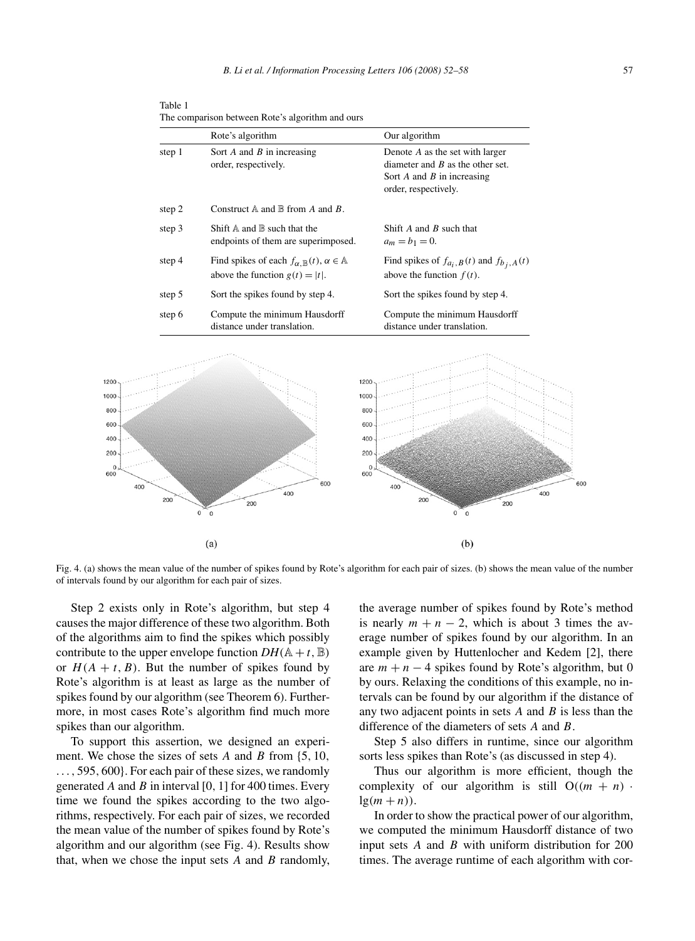Table 1 The comparison between Rote's algorithm and ours

|     |          | Rote's algorithm                                                                                            | Our algorithm                                                                                                                   |            |  |  |
|-----|----------|-------------------------------------------------------------------------------------------------------------|---------------------------------------------------------------------------------------------------------------------------------|------------|--|--|
|     | step 1   | Sort $A$ and $B$ in increasing<br>order, respectively.                                                      | Denote A as the set with larger<br>diameter and $B$ as the other set.<br>Sort $A$ and $B$ in increasing<br>order, respectively. |            |  |  |
|     | step 2   | Construct $A$ and $B$ from A and B.                                                                         |                                                                                                                                 |            |  |  |
|     | step 3   | Shift $A$ and $B$ such that the<br>endpoints of them are superimposed.                                      | Shift $A$ and $B$ such that<br>$a_m = b_1 = 0.$                                                                                 |            |  |  |
|     | step 4   | Find spikes of each $f_{\alpha, \mathbb{B}}(t), \alpha \in \mathbb{A}$<br>above the function $g(t) =  t $ . | Find spikes of $f_{a_i, B}(t)$ and $f_{b_i, A}(t)$<br>above the function $f(t)$ .                                               |            |  |  |
|     | step 5   | Sort the spikes found by step 4.                                                                            | Sort the spikes found by step 4.                                                                                                |            |  |  |
|     | step 6   | Compute the minimum Hausdorff<br>distance under translation.                                                | Compute the minimum Hausdorff<br>distance under translation.                                                                    |            |  |  |
| 400 | 200<br>0 | 600<br>400<br>200<br>$\bf 0$                                                                                | 1200<br>1000<br>800<br>600<br>400<br>200<br>$\mathbf 0$<br>600<br>400<br>200<br>200<br>0<br>$\mathbf 0$                         | 600<br>400 |  |  |
|     |          | (a)                                                                                                         | (b)                                                                                                                             |            |  |  |

Fig. 4. (a) shows the mean value of the number of spikes found by Rote's algorithm for each pair of sizes. (b) shows the mean value of the number of intervals found by our algorithm for each pair of sizes.

Step 2 exists only in Rote's algorithm, but step 4 causes the major difference of these two algorithm. Both of the algorithms aim to find the spikes which possibly contribute to the upper envelope function  $DH(A + t, \mathbb{B})$ or  $H(A + t, B)$ . But the number of spikes found by Rote's algorithm is at least as large as the number of spikes found by our algorithm (see Theorem 6). Furthermore, in most cases Rote's algorithm find much more spikes than our algorithm.

To support this assertion, we designed an experiment. We chose the sizes of sets *A* and *B* from {5*,* 10*, ...,* 595*,* 600}. For each pair of these sizes, we randomly generated *A* and *B* in interval [0*,* 1] for 400 times. Every time we found the spikes according to the two algorithms, respectively. For each pair of sizes, we recorded the mean value of the number of spikes found by Rote's algorithm and our algorithm (see Fig. 4). Results show that, when we chose the input sets *A* and *B* randomly,

the average number of spikes found by Rote's method is nearly  $m + n - 2$ , which is about 3 times the average number of spikes found by our algorithm. In an example given by Huttenlocher and Kedem [2], there are  $m + n - 4$  spikes found by Rote's algorithm, but 0 by ours. Relaxing the conditions of this example, no intervals can be found by our algorithm if the distance of any two adjacent points in sets *A* and *B* is less than the difference of the diameters of sets *A* and *B*.

Step 5 also differs in runtime, since our algorithm sorts less spikes than Rote's (as discussed in step 4).

Thus our algorithm is more efficient, though the complexity of our algorithm is still  $O((m + n))$  $lg(m+n)$ .

In order to show the practical power of our algorithm, we computed the minimum Hausdorff distance of two input sets *A* and *B* with uniform distribution for 200 times. The average runtime of each algorithm with cor-